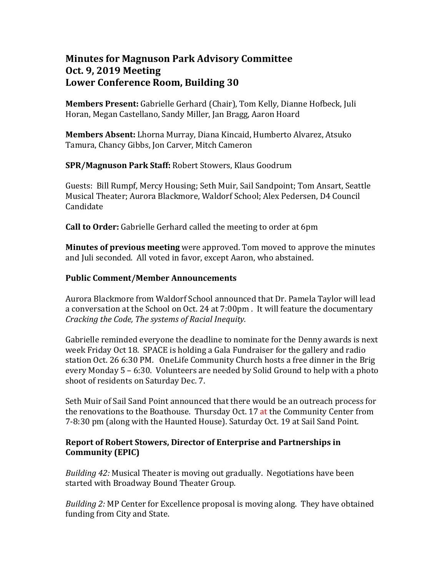# **Minutes for Magnuson Park Advisory Committee Oct. 9, 2019 Meeting Lower Conference Room, Building 30**

**Members Present:** Gabrielle Gerhard (Chair), Tom Kelly, Dianne Hofbeck, Juli Horan, Megan Castellano, Sandy Miller, Jan Bragg, Aaron Hoard

**Members Absent:** Lhorna Murray, Diana Kincaid, Humberto Alvarez, Atsuko Tamura, Chancy Gibbs, Jon Carver, Mitch Cameron

**SPR/Magnuson Park Staff:** Robert Stowers, Klaus Goodrum

Guests: Bill Rumpf, Mercy Housing; Seth Muir, Sail Sandpoint; Tom Ansart, Seattle Musical Theater; Aurora Blackmore, Waldorf School; Alex Pedersen, D4 Council Candidate

**Call to Order:** Gabrielle Gerhard called the meeting to order at 6pm

**Minutes of previous meeting** were approved. Tom moved to approve the minutes and Juli seconded. All voted in favor, except Aaron, who abstained.

# **Public Comment/Member Announcements**

Aurora Blackmore from Waldorf School announced that Dr. Pamela Taylor will lead a conversation at the School on Oct. 24 at 7:00pm . It will feature the documentary *Cracking the Code, The systems of Racial Inequity.* 

Gabrielle reminded everyone the deadline to nominate for the Denny awards is next week Friday Oct 18. SPACE is holding a Gala Fundraiser for the gallery and radio station Oct. 26 6:30 PM. OneLife Community Church hosts a free dinner in the Brig every Monday 5 – 6:30. Volunteers are needed by Solid Ground to help with a photo shoot of residents on Saturday Dec. 7.

Seth Muir of Sail Sand Point announced that there would be an outreach process for the renovations to the Boathouse. Thursday Oct. 17 at the Community Center from 7-8:30 pm (along with the Haunted House). Saturday Oct. 19 at Sail Sand Point.

### **Report of Robert Stowers, Director of Enterprise and Partnerships in Community (EPIC)**

*Building 42:* Musical Theater is moving out gradually. Negotiations have been started with Broadway Bound Theater Group.

*Building 2:* MP Center for Excellence proposal is moving along. They have obtained funding from City and State.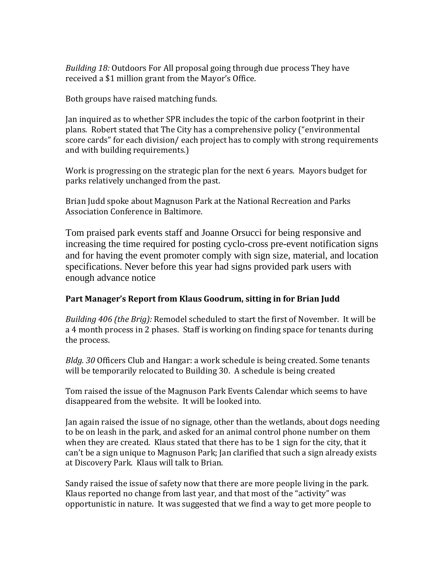*Building 18:* Outdoors For All proposal going through due process They have received a \$1 million grant from the Mayor's Office.

Both groups have raised matching funds.

Jan inquired as to whether SPR includes the topic of the carbon footprint in their plans. Robert stated that The City has a comprehensive policy ("environmental score cards" for each division/ each project has to comply with strong requirements and with building requirements.)

Work is progressing on the strategic plan for the next 6 years. Mayors budget for parks relatively unchanged from the past.

Brian Judd spoke about Magnuson Park at the National Recreation and Parks Association Conference in Baltimore.

Tom praised park events staff and Joanne Orsucci for being responsive and increasing the time required for posting cyclo-cross pre-event notification signs and for having the event promoter comply with sign size, material, and location specifications. Never before this year had signs provided park users with enough advance notice

### **Part Manager's Report from Klaus Goodrum, sitting in for Brian Judd**

*Building 406 (the Brig):* Remodel scheduled to start the first of November. It will be a 4 month process in 2 phases. Staff is working on finding space for tenants during the process.

*Bldg. 30* Officers Club and Hangar: a work schedule is being created. Some tenants will be temporarily relocated to Building 30. A schedule is being created

Tom raised the issue of the Magnuson Park Events Calendar which seems to have disappeared from the website. It will be looked into.

Jan again raised the issue of no signage, other than the wetlands, about dogs needing to be on leash in the park, and asked for an animal control phone number on them when they are created. Klaus stated that there has to be 1 sign for the city, that it can't be a sign unique to Magnuson Park; Jan clarified that such a sign already exists at Discovery Park. Klaus will talk to Brian.

Sandy raised the issue of safety now that there are more people living in the park. Klaus reported no change from last year, and that most of the "activity" was opportunistic in nature. It was suggested that we find a way to get more people to